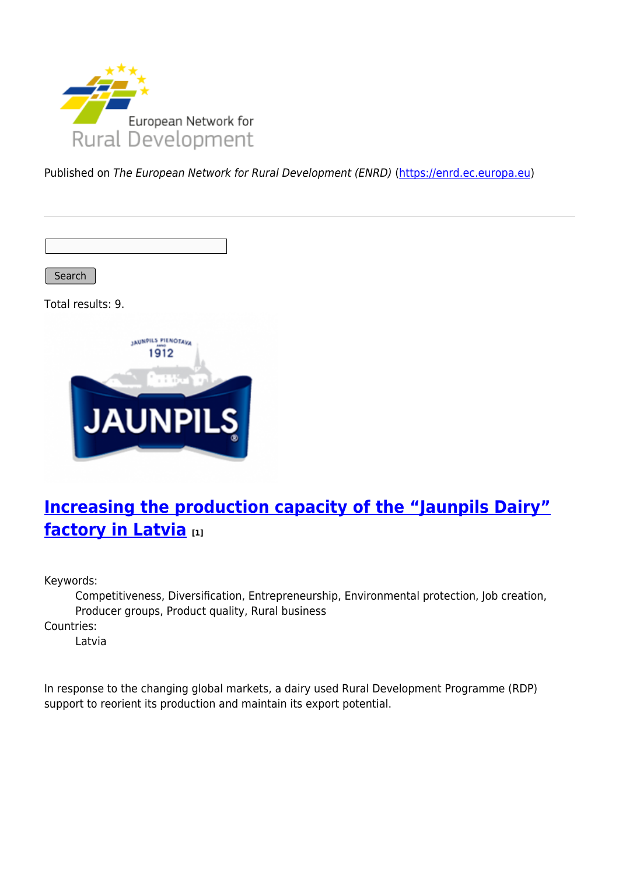

Published on The European Network for Rural Development (ENRD) [\(https://enrd.ec.europa.eu](https://enrd.ec.europa.eu))

Search

Total results: 9.



## **[Increasing the production capacity of the "Jaunpils Dairy"](https://enrd.ec.europa.eu/projects-practice/increasing-production-capacity-jaunpils-dairy-factory-latvia_en) [factory in Latvia](https://enrd.ec.europa.eu/projects-practice/increasing-production-capacity-jaunpils-dairy-factory-latvia_en) [1]**

Keywords:

Competitiveness, Diversification, Entrepreneurship, Environmental protection, Job creation, Producer groups, Product quality, Rural business

Countries:

Latvia

In response to the changing global markets, a dairy used Rural Development Programme (RDP) support to reorient its production and maintain its export potential.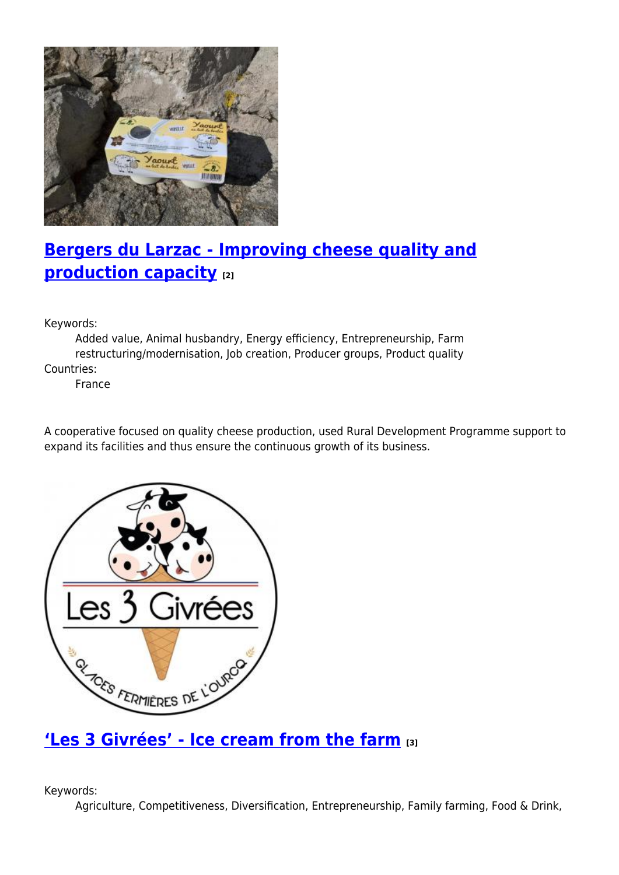

# **[Bergers du Larzac - Improving cheese quality and](https://enrd.ec.europa.eu/projects-practice/bergers-du-larzac-improving-cheese-quality-and-production-capacity_en) [production capacity](https://enrd.ec.europa.eu/projects-practice/bergers-du-larzac-improving-cheese-quality-and-production-capacity_en) [2]**

Keywords:

Added value, Animal husbandry, Energy efficiency, Entrepreneurship, Farm restructuring/modernisation, Job creation, Producer groups, Product quality Countries:

France

A cooperative focused on quality cheese production, used Rural Development Programme support to expand its facilities and thus ensure the continuous growth of its business.



#### **['Les 3 Givrées' - Ice cream from the farm](https://enrd.ec.europa.eu/projects-practice/les-3-givrees-ice-cream-farm_en) [3]**

Keywords:

Agriculture, Competitiveness, Diversification, Entrepreneurship, Family farming, Food & Drink,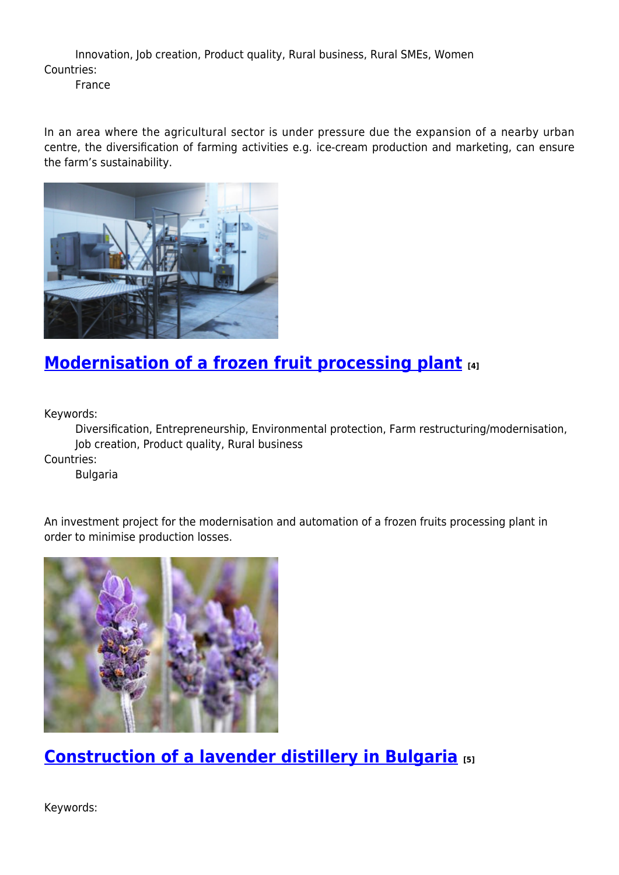Innovation, Job creation, Product quality, Rural business, Rural SMEs, Women Countries:

France

In an area where the agricultural sector is under pressure due the expansion of a nearby urban centre, the diversification of farming activities e.g. ice-cream production and marketing, can ensure the farm's sustainability.



### **[Modernisation of a frozen fruit processing plant](https://enrd.ec.europa.eu/projects-practice/modernisation-frozen-fruit-processing-plant_en) [4]**

Keywords:

Diversification, Entrepreneurship, Environmental protection, Farm restructuring/modernisation, Job creation, Product quality, Rural business

Countries:

Bulgaria

An investment project for the modernisation and automation of a frozen fruits processing plant in order to minimise production losses.



**[Construction of a lavender distillery in Bulgaria](https://enrd.ec.europa.eu/projects-practice/construction-lavender-distillery-bulgaria_en) [5]**

Keywords: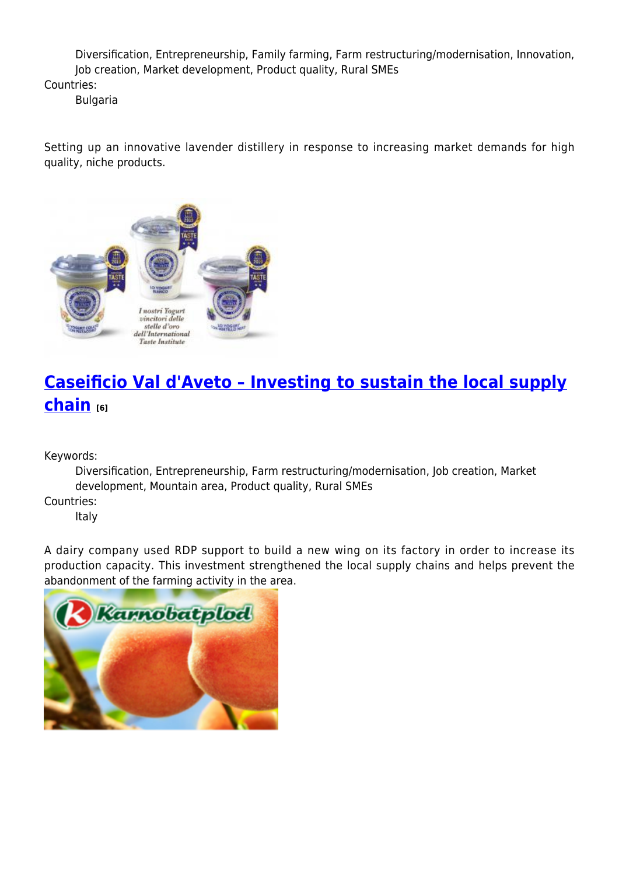Diversification, Entrepreneurship, Family farming, Farm restructuring/modernisation, Innovation, Job creation, Market development, Product quality, Rural SMEs

Countries:

Bulgaria

Setting up an innovative lavender distillery in response to increasing market demands for high quality, niche products.



# **[Caseificio Val d'Aveto – Investing to sustain the local supply](https://enrd.ec.europa.eu/projects-practice/caseificio-val-daveto-investing-sustain-local-supply-chain_en) [chain](https://enrd.ec.europa.eu/projects-practice/caseificio-val-daveto-investing-sustain-local-supply-chain_en) [6]**

Keywords:

Diversification, Entrepreneurship, Farm restructuring/modernisation, Job creation, Market development, Mountain area, Product quality, Rural SMEs Countries:

Italy

A dairy company used RDP support to build a new wing on its factory in order to increase its production capacity. This investment strengthened the local supply chains and helps prevent the abandonment of the farming activity in the area.

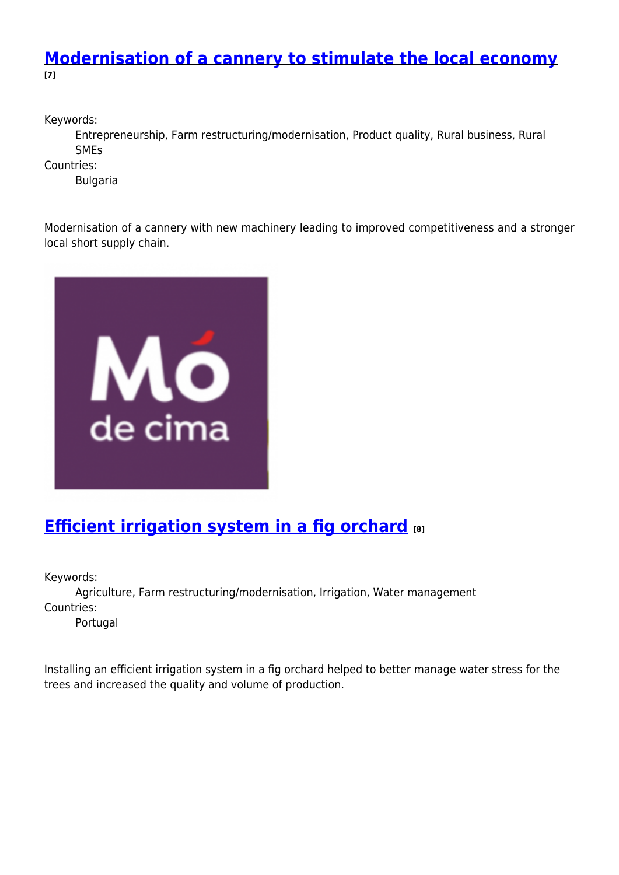#### **[Modernisation of a cannery to stimulate the local economy](https://enrd.ec.europa.eu/projects-practice/modernisation-cannery-stimulate-local-economy_en) [7]**

Keywords:

Entrepreneurship, Farm restructuring/modernisation, Product quality, Rural business, Rural SMEs

Countries:

Bulgaria

Modernisation of a cannery with new machinery leading to improved competitiveness and a stronger local short supply chain.



## **[Efficient irrigation system in a fig orchard](https://enrd.ec.europa.eu/projects-practice/efficient-irrigation-system-fig-orchard_en) [8]**

Keywords:

Agriculture, Farm restructuring/modernisation, Irrigation, Water management Countries:

Portugal

Installing an efficient irrigation system in a fig orchard helped to better manage water stress for the trees and increased the quality and volume of production.